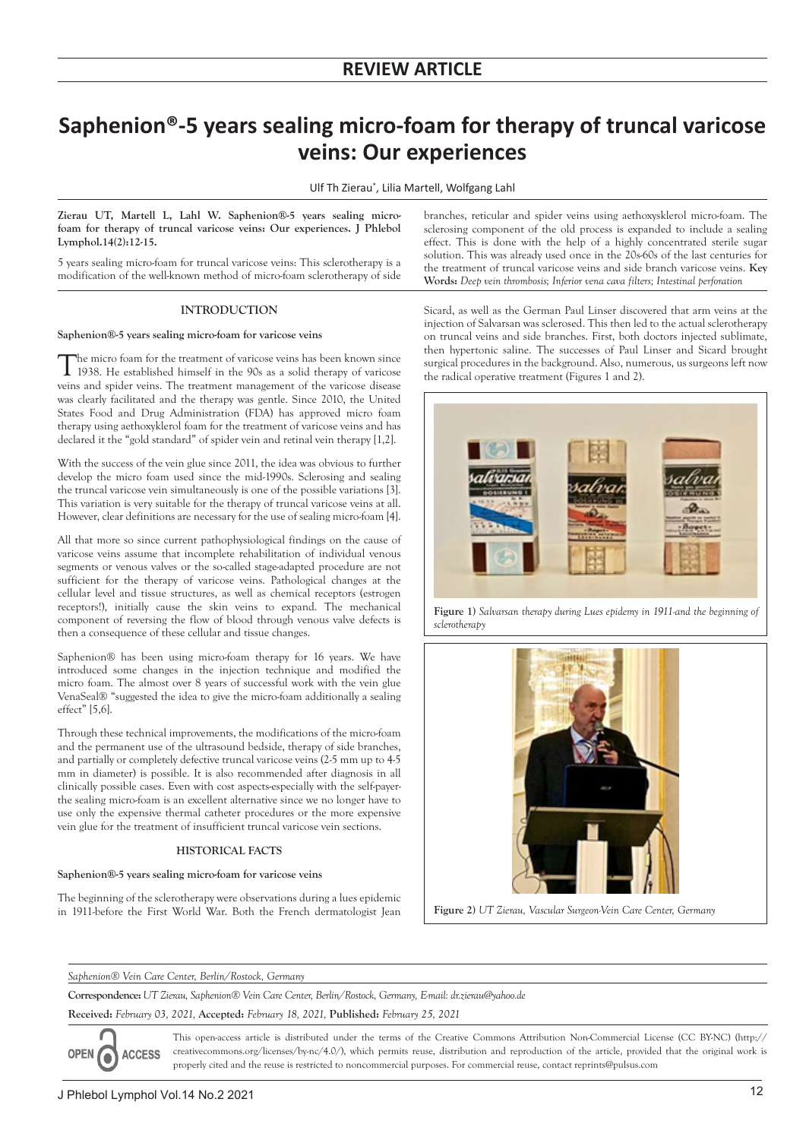# **Saphenion®-5 years sealing micro-foam for therapy of truncal varicose veins: Our experiences**

Ulf Th Zierau\* , Lilia Martell, Wolfgang Lahl

**Zierau UT, Martell L, Lahl W. Saphenion®-5 years sealing microfoam for therapy of truncal varicose veins: Our experiences. J Phlebol Lymphol.14(2):12-15.**

5 years sealing micro-foam for truncal varicose veins: This sclerotherapy is a modification of the well-known method of micro-foam sclerotherapy of side

# **INTRODUCTION**

#### **Saphenion®-5 years sealing micro-foam for varicose veins**

The micro foam for the treatment of varicose veins has been known since 1938. He established himself in the 90s as a solid therapy of varicose veins and spider veins. The treatment management of the varicose disease was clearly facilitated and the therapy was gentle. Since 2010, the United States Food and Drug Administration (FDA) has approved micro foam therapy using aethoxyklerol foam for the treatment of varicose veins and has declared it the "gold standard" of spider vein and retinal vein therapy [1,2].

With the success of the vein glue since 2011, the idea was obvious to further develop the micro foam used since the mid-1990s. Sclerosing and sealing the truncal varicose vein simultaneously is one of the possible variations [3]. This variation is very suitable for the therapy of truncal varicose veins at all. However, clear definitions are necessary for the use of sealing micro-foam [4].

All that more so since current pathophysiological findings on the cause of varicose veins assume that incomplete rehabilitation of individual venous segments or venous valves or the so-called stage-adapted procedure are not sufficient for the therapy of varicose veins. Pathological changes at the cellular level and tissue structures, as well as chemical receptors (estrogen receptors!), initially cause the skin veins to expand. The mechanical component of reversing the flow of blood through venous valve defects is then a consequence of these cellular and tissue changes.

Saphenion® has been using micro-foam therapy for 16 years. We have introduced some changes in the injection technique and modified the micro foam. The almost over 8 years of successful work with the vein glue VenaSeal® "suggested the idea to give the micro-foam additionally a sealing effect" [5,6].

Through these technical improvements, the modifications of the micro-foam and the permanent use of the ultrasound bedside, therapy of side branches, and partially or completely defective truncal varicose veins (2-5 mm up to 4-5 mm in diameter) is possible. It is also recommended after diagnosis in all clinically possible cases. Even with cost aspects-especially with the self-payerthe sealing micro-foam is an excellent alternative since we no longer have to use only the expensive thermal catheter procedures or the more expensive vein glue for the treatment of insufficient truncal varicose vein sections.

# **HISTORICAL FACTS**

# **Saphenion®-5 years sealing micro-foam for varicose veins**

The beginning of the sclerotherapy were observations during a lues epidemic in 1911-before the First World War. Both the French dermatologist Jean

branches, reticular and spider veins using aethoxysklerol micro-foam. The sclerosing component of the old process is expanded to include a sealing effect. This is done with the help of a highly concentrated sterile sugar solution. This was already used once in the 20s-60s of the last centuries for the treatment of truncal varicose veins and side branch varicose veins. **Key Words:** *Deep vein thrombosis; Inferior vena cava filters; Intestinal perforation*

Sicard, as well as the German Paul Linser discovered that arm veins at the injection of Salvarsan was sclerosed. This then led to the actual sclerotherapy on truncal veins and side branches. First, both doctors injected sublimate, then hypertonic saline. The successes of Paul Linser and Sicard brought surgical procedures in the background. Also, numerous, us surgeons left now the radical operative treatment (Figures 1 and 2).



**Figure 1)** *Salvarsan therapy during Lues epidemy in 1911-and the beginning of sclerotherapy*



**Figure 2)** *UT Zierau, Vascular Surgeon-Vein Care Center, Germany*

*Saphenion® Vein Care Center, Berlin/Rostock, Germany*

**Correspondence:** *UT Zierau, Saphenion® Vein Care Center, Berlin/Rostock, Germany, E-mail: dr.zierau@yahoo.de*

**Received:** *February 03, 2021,* **Accepted:** *February 18, 2021,* **Published:** *February 25, 2021* 

This open-access article is distributed under the terms of the Creative Commons Attribution Non-Commercial License (CC BY-NC) (http:// OPEN O creativecommons.org/licenses/by-nc/4.0/), which permits reuse, distribution and reproduction of the article, provided that the original work is **ACCESS** properly cited and the reuse is restricted to noncommercial purposes. For commercial reuse, contact reprints@pulsus.com

4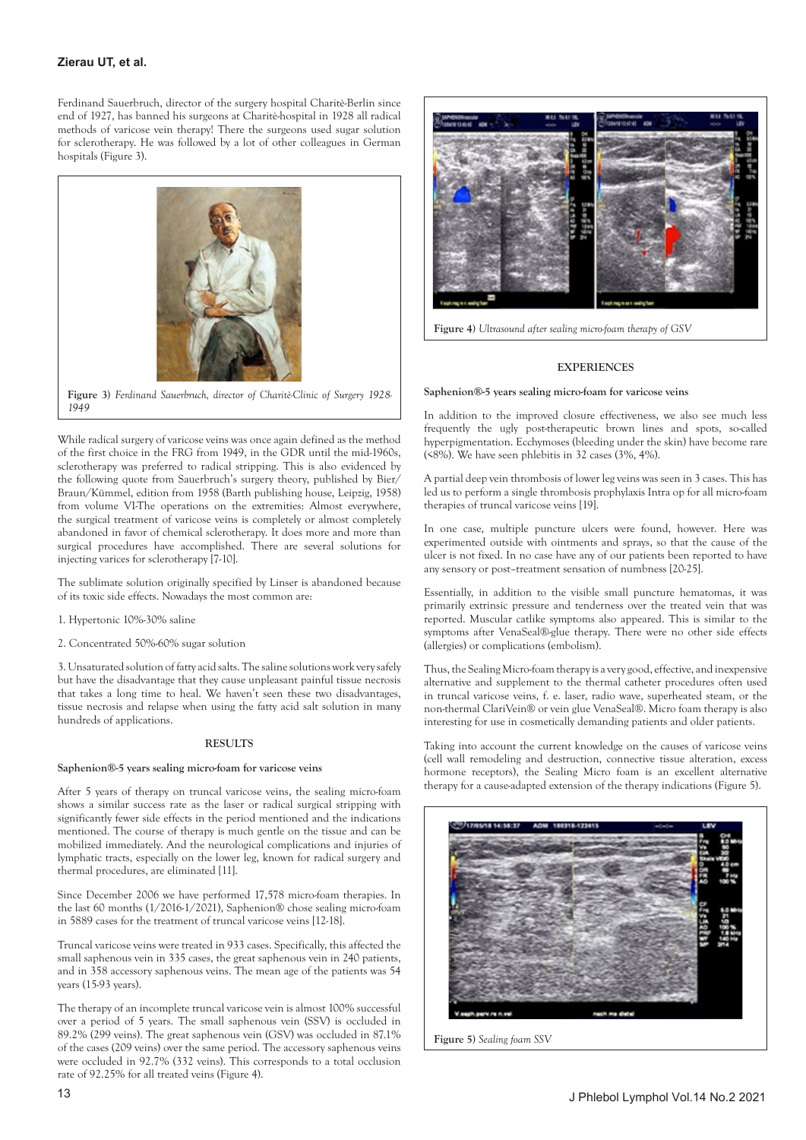# **Zierau UT, et al.**

Ferdinand Sauerbruch, director of the surgery hospital Charitè-Berlin since end of 1927, has banned his surgeons at Charitè-hospital in 1928 all radical methods of varicose vein therapy! There the surgeons used sugar solution for sclerotherapy. He was followed by a lot of other colleagues in German hospitals (Figure 3).



*1949*

While radical surgery of varicose veins was once again defined as the method of the first choice in the FRG from 1949, in the GDR until the mid-1960s, sclerotherapy was preferred to radical stripping. This is also evidenced by the following quote from Sauerbruch's surgery theory, published by Bier/ Braun/Kümmel, edition from 1958 (Barth publishing house, Leipzig, 1958) from volume VI-The operations on the extremities: Almost everywhere, the surgical treatment of varicose veins is completely or almost completely abandoned in favor of chemical sclerotherapy. It does more and more than surgical procedures have accomplished. There are several solutions for injecting varices for sclerotherapy [7-10].

The sublimate solution originally specified by Linser is abandoned because of its toxic side effects. Nowadays the most common are:

- 1. Hypertonic 10%-30% saline
- 2. Concentrated 50%-60% sugar solution

3. Unsaturated solution of fatty acid salts. The saline solutions work very safely but have the disadvantage that they cause unpleasant painful tissue necrosis that takes a long time to heal. We haven't seen these two disadvantages, tissue necrosis and relapse when using the fatty acid salt solution in many hundreds of applications.

#### **RESULTS**

#### **Saphenion®-5 years sealing micro-foam for varicose veins**

After 5 years of therapy on truncal varicose veins, the sealing micro-foam shows a similar success rate as the laser or radical surgical stripping with significantly fewer side effects in the period mentioned and the indications mentioned. The course of therapy is much gentle on the tissue and can be mobilized immediately. And the neurological complications and injuries of lymphatic tracts, especially on the lower leg, known for radical surgery and thermal procedures, are eliminated [11].

Since December 2006 we have performed 17,578 micro-foam therapies. In the last 60 months (1/2016-1/2021), Saphenion® chose sealing micro-foam in 5889 cases for the treatment of truncal varicose veins [12-18].

Truncal varicose veins were treated in 933 cases. Specifically, this affected the small saphenous vein in 335 cases, the great saphenous vein in 240 patients, and in 358 accessory saphenous veins. The mean age of the patients was 54 years (15-93 years).

The therapy of an incomplete truncal varicose vein is almost 100% successful over a period of 5 years. The small saphenous vein (SSV) is occluded in 89.2% (299 veins). The great saphenous vein (GSV) was occluded in 87.1% of the cases (209 veins) over the same period. The accessory saphenous veins were occluded in 92.7% (332 veins). This corresponds to a total occlusion rate of 92.25% for all treated veins (Figure 4).



**EXPERIENCES**

#### **Saphenion®-5 years sealing micro-foam for varicose veins**

In addition to the improved closure effectiveness, we also see much less frequently the ugly post-therapeutic brown lines and spots, so-called hyperpigmentation. Ecchymoses (bleeding under the skin) have become rare (<8%). We have seen phlebitis in 32 cases (3%, 4%).

A partial deep vein thrombosis of lower leg veins was seen in 3 cases. This has led us to perform a single thrombosis prophylaxis Intra op for all micro-foam therapies of truncal varicose veins [19].

In one case, multiple puncture ulcers were found, however. Here was experimented outside with ointments and sprays, so that the cause of the ulcer is not fixed. In no case have any of our patients been reported to have any sensory or post–treatment sensation of numbness [20-25].

Essentially, in addition to the visible small puncture hematomas, it was primarily extrinsic pressure and tenderness over the treated vein that was reported. Muscular catlike symptoms also appeared. This is similar to the symptoms after VenaSeal®-glue therapy. There were no other side effects (allergies) or complications (embolism).

Thus, the Sealing Micro-foam therapy is a very good, effective, and inexpensive alternative and supplement to the thermal catheter procedures often used in truncal varicose veins, f. e. laser, radio wave, superheated steam, or the non-thermal ClariVein® or vein glue VenaSeal®. Micro foam therapy is also interesting for use in cosmetically demanding patients and older patients.

Taking into account the current knowledge on the causes of varicose veins (cell wall remodeling and destruction, connective tissue alteration, excess hormone receptors), the Sealing Micro foam is an excellent alternative therapy for a cause-adapted extension of the therapy indications (Figure 5).



**Figure 5)** *Sealing foam SSV*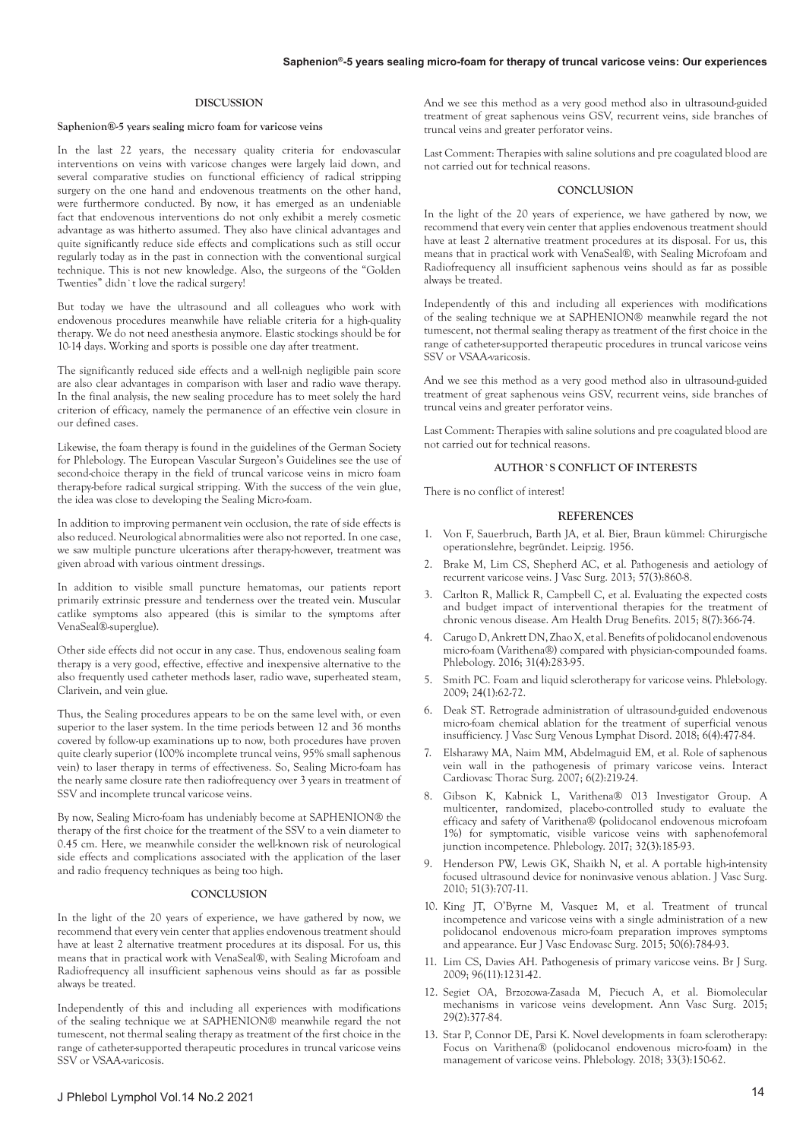#### **DISCUSSION**

### **Saphenion®-5 years sealing micro foam for varicose veins**

In the last 22 years, the necessary quality criteria for endovascular interventions on veins with varicose changes were largely laid down, and several comparative studies on functional efficiency of radical stripping surgery on the one hand and endovenous treatments on the other hand, were furthermore conducted. By now, it has emerged as an undeniable fact that endovenous interventions do not only exhibit a merely cosmetic advantage as was hitherto assumed. They also have clinical advantages and quite significantly reduce side effects and complications such as still occur regularly today as in the past in connection with the conventional surgical technique. This is not new knowledge. Also, the surgeons of the "Golden Twenties" didn`t love the radical surgery!

But today we have the ultrasound and all colleagues who work with endovenous procedures meanwhile have reliable criteria for a high-quality therapy. We do not need anesthesia anymore. Elastic stockings should be for 10-14 days. Working and sports is possible one day after treatment.

The significantly reduced side effects and a well-nigh negligible pain score are also clear advantages in comparison with laser and radio wave therapy. In the final analysis, the new sealing procedure has to meet solely the hard criterion of efficacy, namely the permanence of an effective vein closure in our defined cases.

Likewise, the foam therapy is found in the guidelines of the German Society for Phlebology. The European Vascular Surgeon's Guidelines see the use of second-choice therapy in the field of truncal varicose veins in micro foam therapy-before radical surgical stripping. With the success of the vein glue, the idea was close to developing the Sealing Micro-foam.

In addition to improving permanent vein occlusion, the rate of side effects is also reduced. Neurological abnormalities were also not reported. In one case, we saw multiple puncture ulcerations after therapy-however, treatment was given abroad with various ointment dressings.

In addition to visible small puncture hematomas, our patients report primarily extrinsic pressure and tenderness over the treated vein. Muscular catlike symptoms also appeared (this is similar to the symptoms after VenaSeal®-superglue).

Other side effects did not occur in any case. Thus, endovenous sealing foam therapy is a very good, effective, effective and inexpensive alternative to the also frequently used catheter methods laser, radio wave, superheated steam, Clarivein, and vein glue.

Thus, the Sealing procedures appears to be on the same level with, or even superior to the laser system. In the time periods between 12 and 36 months covered by follow-up examinations up to now, both procedures have proven quite clearly superior (100% incomplete truncal veins, 95% small saphenous vein) to laser therapy in terms of effectiveness. So, Sealing Micro-foam has the nearly same closure rate then radiofrequency over 3 years in treatment of SSV and incomplete truncal varicose veins.

By now, Sealing Micro-foam has undeniably become at SAPHENION® the therapy of the first choice for the treatment of the SSV to a vein diameter to 0.45 cm. Here, we meanwhile consider the well-known risk of neurological side effects and complications associated with the application of the laser and radio frequency techniques as being too high.

#### **CONCLUSION**

In the light of the 20 years of experience, we have gathered by now, we recommend that every vein center that applies endovenous treatment should have at least 2 alternative treatment procedures at its disposal. For us, this means that in practical work with VenaSeal®, with Sealing Microfoam and Radiofrequency all insufficient saphenous veins should as far as possible always be treated.

Independently of this and including all experiences with modifications of the sealing technique we at SAPHENION® meanwhile regard the not tumescent, not thermal sealing therapy as treatment of the first choice in the range of catheter-supported therapeutic procedures in truncal varicose veins SSV or VSAA-varicosis.

Last Comment: Therapies with saline solutions and pre coagulated blood are not carried out for technical reasons.

#### **CONCLUSION**

In the light of the 20 years of experience, we have gathered by now, we recommend that every vein center that applies endovenous treatment should have at least 2 alternative treatment procedures at its disposal. For us, this means that in practical work with VenaSeal®, with Sealing Microfoam and Radiofrequency all insufficient saphenous veins should as far as possible always be treated.

Independently of this and including all experiences with modifications of the sealing technique we at SAPHENION® meanwhile regard the not tumescent, not thermal sealing therapy as treatment of the first choice in the range of catheter-supported therapeutic procedures in truncal varicose veins SSV or VSAA-varicosis.

And we see this method as a very good method also in ultrasound-guided treatment of great saphenous veins GSV, recurrent veins, side branches of truncal veins and greater perforator veins.

Last Comment: Therapies with saline solutions and pre coagulated blood are not carried out for technical reasons.

# **AUTHOR`S CONFLICT OF INTERESTS**

There is no conflict of interest!

#### **REFERENCES**

- 1. Von F, Sauerbruch, Barth JA, et al. Bier, Braun kümmel: Chirurgische operationslehre, begründet. Leipzig. 1956.
- 2. Brake M, Lim CS, Shepherd AC, et al. Pathogenesis and aetiology of recurrent varicose veins. J Vasc Surg. 2013; 57(3):860-8.
- 3. Carlton R, Mallick R, Campbell C, et al. Evaluating the expected costs and budget impact of interventional therapies for the treatment of chronic venous disease. Am Health Drug Benefits. 2015; 8(7):366-74.
- 4. Carugo D, Ankrett DN, Zhao X, et al. Benefits of polidocanol endovenous micro-foam (Varithena®) compared with physician-compounded foams. Phlebology. 2016; 31(4):283-95.
- 5. Smith PC. Foam and liquid sclerotherapy for varicose veins. Phlebology. 2009; 24(1):62-72.
- 6. Deak ST. Retrograde administration of ultrasound-guided endovenous micro-foam chemical ablation for the treatment of superficial venous insufficiency. J Vasc Surg Venous Lymphat Disord. 2018; 6(4):477-84.
- 7. Elsharawy MA, Naim MM, Abdelmaguid EM, et al. Role of saphenous vein wall in the pathogenesis of primary varicose veins. Interact Cardiovasc Thorac Surg. 2007; 6(2):219-24.
- 8. Gibson K, Kabnick L, Varithena® 013 Investigator Group. A multicenter, randomized, placebo-controlled study to evaluate the efficacy and safety of Varithena® (polidocanol endovenous microfoam 1%) for symptomatic, visible varicose veins with saphenofemoral junction incompetence. Phlebology. 2017; 32(3):185-93.
- 9. Henderson PW, Lewis GK, Shaikh N, et al. A portable high-intensity focused ultrasound device for noninvasive venous ablation. J Vasc Surg. 2010; 51(3):707-11.
- 10. King JT, O'Byrne M, Vasquez M, et al. Treatment of truncal incompetence and varicose veins with a single administration of a new polidocanol endovenous micro-foam preparation improves symptoms and appearance. Eur J Vasc Endovasc Surg. 2015; 50(6):784-93.
- 11. Lim CS, Davies AH. Pathogenesis of primary varicose veins. Br J Surg. 2009; 96(11):1231-42.
- 12. Segiet OA, Brzozowa-Zasada M, Piecuch A, et al. Biomolecular mechanisms in varicose veins development. Ann Vasc Surg. 2015; 29(2):377-84.
- 13. Star P, Connor DE, Parsi K. Novel developments in foam sclerotherapy: Focus on Varithena® (polidocanol endovenous micro-foam) in the management of varicose veins. Phlebology. 2018; 33(3):150-62.